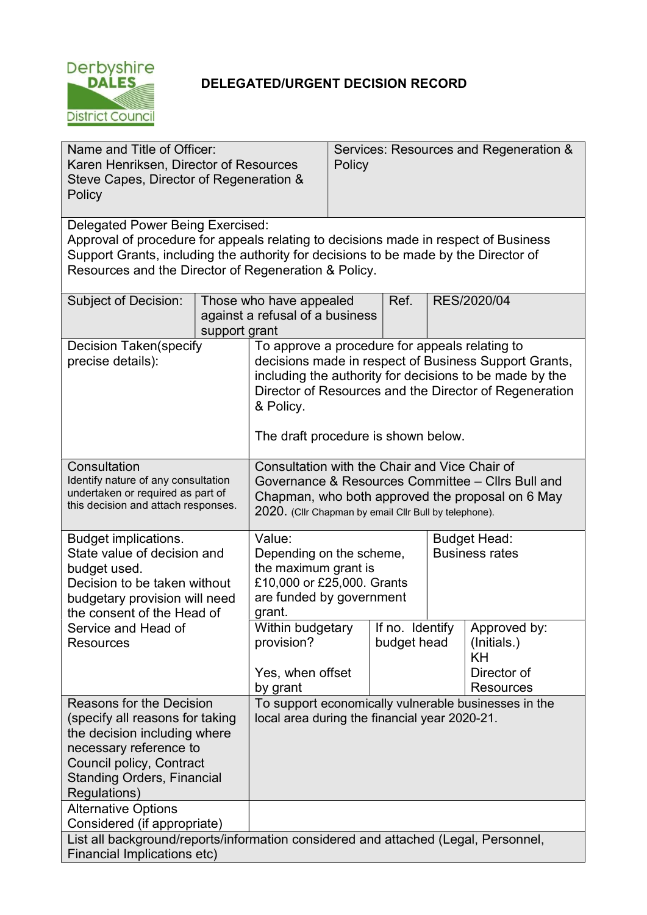

# DELEGATED/URGENT DECISION RECORD

| Name and Title of Officer:<br>Karen Henriksen, Director of Resources<br>Steve Capes, Director of Regeneration &<br>Policy                                                                                                                                              |               | Services: Resources and Regeneration &<br>Policy                                                                                                                                                                                                                                 |  |                                |                                              |                                                                      |
|------------------------------------------------------------------------------------------------------------------------------------------------------------------------------------------------------------------------------------------------------------------------|---------------|----------------------------------------------------------------------------------------------------------------------------------------------------------------------------------------------------------------------------------------------------------------------------------|--|--------------------------------|----------------------------------------------|----------------------------------------------------------------------|
| Delegated Power Being Exercised:<br>Approval of procedure for appeals relating to decisions made in respect of Business<br>Support Grants, including the authority for decisions to be made by the Director of<br>Resources and the Director of Regeneration & Policy. |               |                                                                                                                                                                                                                                                                                  |  |                                |                                              |                                                                      |
| Subject of Decision:                                                                                                                                                                                                                                                   | support grant | Ref.<br>RES/2020/04<br>Those who have appealed<br>against a refusal of a business                                                                                                                                                                                                |  |                                |                                              |                                                                      |
| <b>Decision Taken(specify</b><br>precise details):                                                                                                                                                                                                                     |               | To approve a procedure for appeals relating to<br>decisions made in respect of Business Support Grants,<br>including the authority for decisions to be made by the<br>Director of Resources and the Director of Regeneration<br>& Policy.<br>The draft procedure is shown below. |  |                                |                                              |                                                                      |
| Consultation<br>Identify nature of any consultation<br>undertaken or required as part of<br>this decision and attach responses.                                                                                                                                        |               | Consultation with the Chair and Vice Chair of<br>Governance & Resources Committee - Cllrs Bull and<br>Chapman, who both approved the proposal on 6 May<br>2020. (Cllr Chapman by email Cllr Bull by telephone).                                                                  |  |                                |                                              |                                                                      |
| <b>Budget implications.</b><br>State value of decision and<br>budget used.<br>Decision to be taken without<br>budgetary provision will need<br>the consent of the Head of<br>Service and Head of<br>Resources                                                          |               | Value:<br>Depending on the scheme,<br>the maximum grant is<br>£10,000 or £25,000. Grants<br>are funded by government<br>grant.                                                                                                                                                   |  |                                | <b>Budget Head:</b><br><b>Business rates</b> |                                                                      |
|                                                                                                                                                                                                                                                                        |               | Within budgetary<br>provision?<br>Yes, when offset<br>by grant                                                                                                                                                                                                                   |  | If no. Identify<br>budget head |                                              | Approved by:<br>(Initials.)<br>KH<br>Director of<br><b>Resources</b> |
| Reasons for the Decision<br>(specify all reasons for taking<br>the decision including where<br>necessary reference to<br>Council policy, Contract<br><b>Standing Orders, Financial</b><br>Regulations)                                                                 |               | To support economically vulnerable businesses in the<br>local area during the financial year 2020-21.                                                                                                                                                                            |  |                                |                                              |                                                                      |
| <b>Alternative Options</b><br>Considered (if appropriate)<br>List all background/reports/information considered and attached (Legal, Personnel,<br>Financial Implications etc)                                                                                         |               |                                                                                                                                                                                                                                                                                  |  |                                |                                              |                                                                      |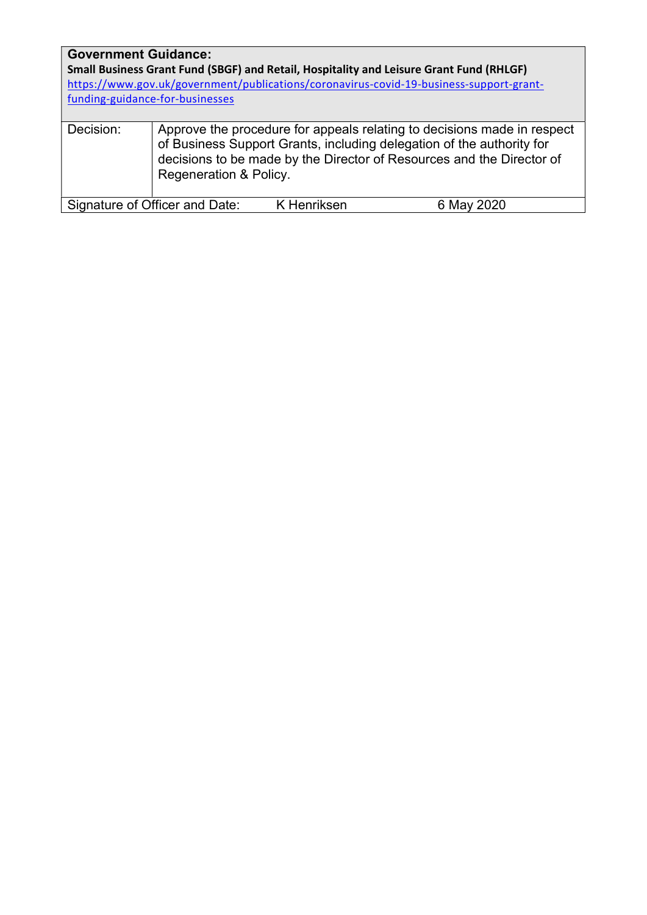## Government Guidance:

Small Business Grant Fund (SBGF) and Retail, Hospitality and Leisure Grant Fund (RHLGF) https://www.gov.uk/government/publications/coronavirus-covid-19-business-support-grantfunding-guidance-for-businesses

| Decision: | Approve the procedure for appeals relating to decisions made in respect<br>of Business Support Grants, including delegation of the authority for<br>decisions to be made by the Director of Resources and the Director of<br>Regeneration & Policy. |
|-----------|-----------------------------------------------------------------------------------------------------------------------------------------------------------------------------------------------------------------------------------------------------|
|           |                                                                                                                                                                                                                                                     |

Signature of Officer and Date: K Henriksen 6 May 2020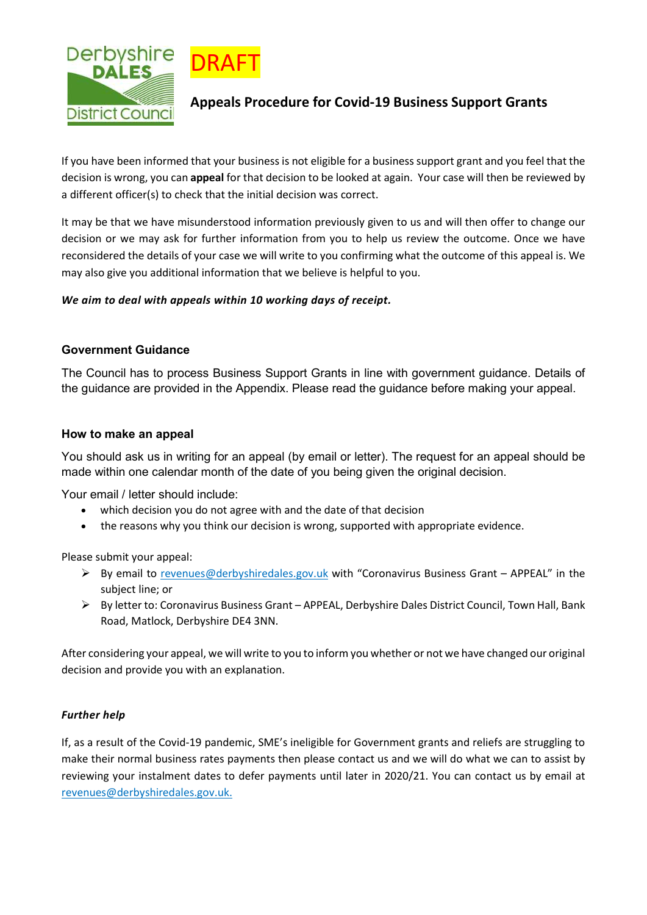



## Appeals Procedure for Covid-19 Business Support Grants

If you have been informed that your business is not eligible for a business support grant and you feel that the decision is wrong, you can appeal for that decision to be looked at again. Your case will then be reviewed by a different officer(s) to check that the initial decision was correct.

It may be that we have misunderstood information previously given to us and will then offer to change our decision or we may ask for further information from you to help us review the outcome. Once we have reconsidered the details of your case we will write to you confirming what the outcome of this appeal is. We may also give you additional information that we believe is helpful to you.

### We aim to deal with appeals within 10 working days of receipt.

### Government Guidance

The Council has to process Business Support Grants in line with government guidance. Details of the guidance are provided in the Appendix. Please read the guidance before making your appeal.

### How to make an appeal

You should ask us in writing for an appeal (by email or letter). The request for an appeal should be made within one calendar month of the date of you being given the original decision.

Your email / letter should include:

- which decision you do not agree with and the date of that decision
- the reasons why you think our decision is wrong, supported with appropriate evidence.

Please submit your appeal:

- $\triangleright$  By email to revenues@derbyshiredales.gov.uk with "Coronavirus Business Grant APPEAL" in the subject line; or
- By letter to: Coronavirus Business Grant APPEAL, Derbyshire Dales District Council, Town Hall, Bank Road, Matlock, Derbyshire DE4 3NN.

After considering your appeal, we will write to you to inform you whether or not we have changed our original decision and provide you with an explanation.

### Further help

If, as a result of the Covid-19 pandemic, SME's ineligible for Government grants and reliefs are struggling to make their normal business rates payments then please contact us and we will do what we can to assist by reviewing your instalment dates to defer payments until later in 2020/21. You can contact us by email at revenues@derbyshiredales.gov.uk.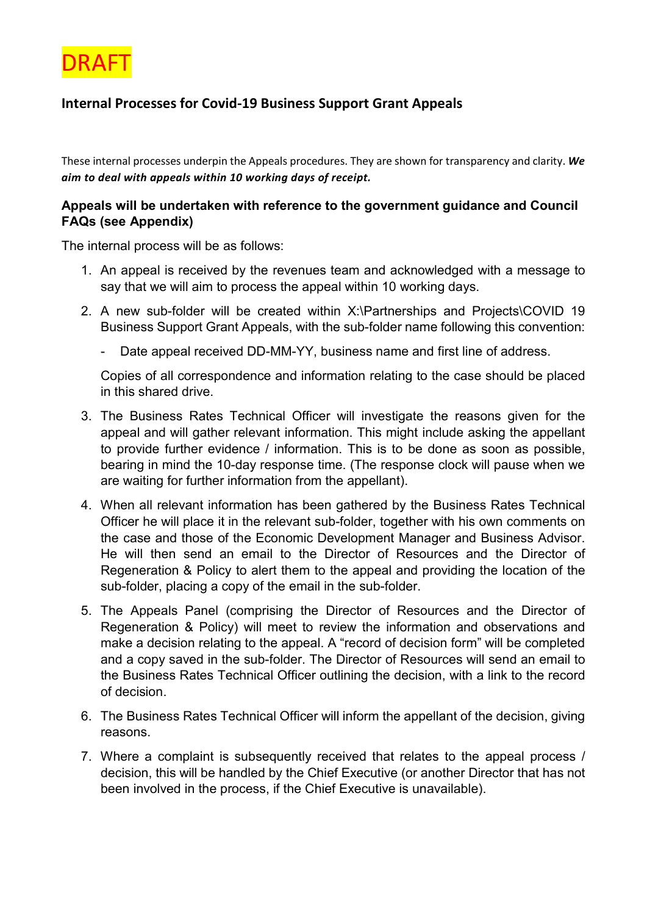

# Internal Processes for Covid-19 Business Support Grant Appeals

These internal processes underpin the Appeals procedures. They are shown for transparency and clarity. We aim to deal with appeals within 10 working days of receipt.

## Appeals will be undertaken with reference to the government guidance and Council FAQs (see Appendix)

The internal process will be as follows:

- 1. An appeal is received by the revenues team and acknowledged with a message to say that we will aim to process the appeal within 10 working days.
- 2. A new sub-folder will be created within X:\Partnerships and Projects\COVID 19 Business Support Grant Appeals, with the sub-folder name following this convention:
	- Date appeal received DD-MM-YY, business name and first line of address.

Copies of all correspondence and information relating to the case should be placed in this shared drive.

- 3. The Business Rates Technical Officer will investigate the reasons given for the appeal and will gather relevant information. This might include asking the appellant to provide further evidence / information. This is to be done as soon as possible, bearing in mind the 10-day response time. (The response clock will pause when we are waiting for further information from the appellant).
- 4. When all relevant information has been gathered by the Business Rates Technical Officer he will place it in the relevant sub-folder, together with his own comments on the case and those of the Economic Development Manager and Business Advisor. He will then send an email to the Director of Resources and the Director of Regeneration & Policy to alert them to the appeal and providing the location of the sub-folder, placing a copy of the email in the sub-folder.
- 5. The Appeals Panel (comprising the Director of Resources and the Director of Regeneration & Policy) will meet to review the information and observations and make a decision relating to the appeal. A "record of decision form" will be completed and a copy saved in the sub-folder. The Director of Resources will send an email to the Business Rates Technical Officer outlining the decision, with a link to the record of decision.
- 6. The Business Rates Technical Officer will inform the appellant of the decision, giving reasons.
- 7. Where a complaint is subsequently received that relates to the appeal process / decision, this will be handled by the Chief Executive (or another Director that has not been involved in the process, if the Chief Executive is unavailable).